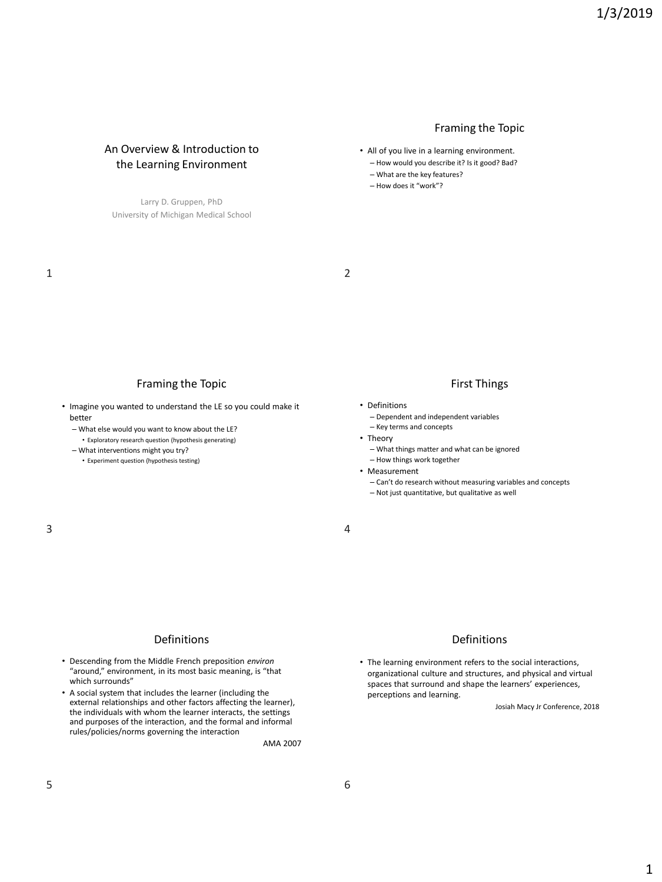#### Framing the Topic

- All of you live in a learning environment.
	- How would you describe it? Is it good? Bad?
	- What are the key features?
	- How does it "work"?

1 2

#### Framing the Topic

An Overview & Introduction to the Learning Environment

Larry D. Gruppen, PhD University of Michigan Medical School

- Imagine you wanted to understand the LE so you could make it better
	- What else would you want to know about the LE? • Exploratory research question (hypothesis generating)
	- What interventions might you try?
		- Experiment question (hypothesis testing)

#### First Things

- Definitions
	- Dependent and independent variables
	- Key terms and concepts
- Theory
	- What things matter and what can be ignored
	- How things work together
- Measurement
	- Can't do research without measuring variables and concepts
	- Not just quantitative, but qualitative as well

#### Definitions

- Descending from the Middle French preposition *environ* "around," environment, in its most basic meaning, is "that which surrounds"
- A social system that includes the learner (including the external relationships and other factors affecting the learner), the individuals with whom the learner interacts, the settings and purposes of the interaction, and the formal and informal rules/policies/norms governing the interaction

AMA 2007

### Definitions

• The learning environment refers to the social interactions, organizational culture and structures, and physical and virtual spaces that surround and shape the learners' experiences, perceptions and learning.

Josiah Macy Jr Conference, 2018

# $3 \hspace{2.5cm} 4$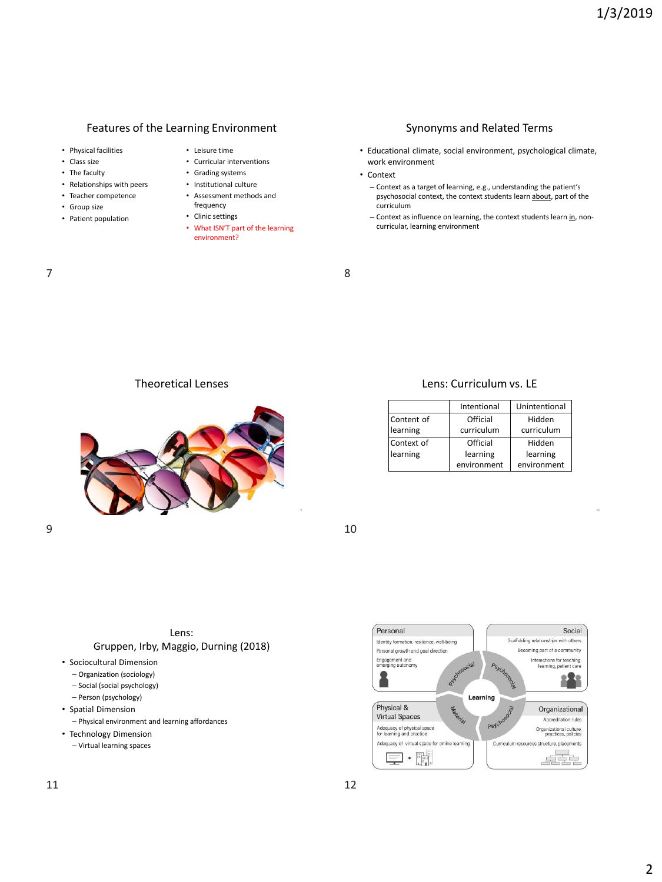### Features of the Learning Environment

- Physical facilities
- Class size
- The faculty
- Relationships with peers
- Teacher competence
- Group size
- Patient population
- Leisure time
- Curricular interventions
- Grading systems
- Institutional culture • Assessment methods and
- frequency • Clinic settings
- What ISN'T part of the learning environment?

#### Synonyms and Related Terms

- Educational climate, social environment, psychological climate, work environment
- Context
	- Context as a target of learning, e.g., understanding the patient's psychosocial context, the context students learn about, part of the curriculum
	- Context as influence on learning, the context students learn in, noncurricular, learning environment

7 8

Theoretical Lenses



#### Lens: Curriculum vs. LE

|            | Intentional | Unintentional |
|------------|-------------|---------------|
| Content of | Official    | Hidden        |
| learning   | curriculum  | curriculum    |
| Context of | Official    | Hidden        |
| learning   | learning    | learning      |
|            | environment | environment   |



Lens: Gruppen, Irby, Maggio, Durning (2018)

- Sociocultural Dimension
	- Organization (sociology)
	- Social (social psychology)
	- Person (psychology)
- Spatial Dimension
	- Physical environment and learning affordances
- Technology Dimension
	- Virtual learning spaces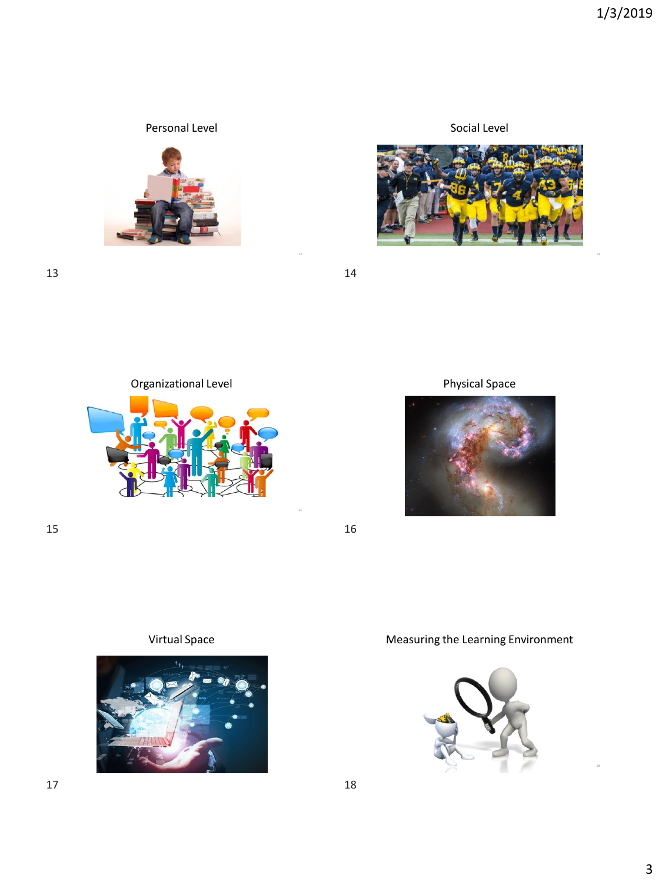## Personal Level



13 14

Organizational Level



 $15$  16





Physical Space







# Virtual Space **Measuring the Learning Environment**

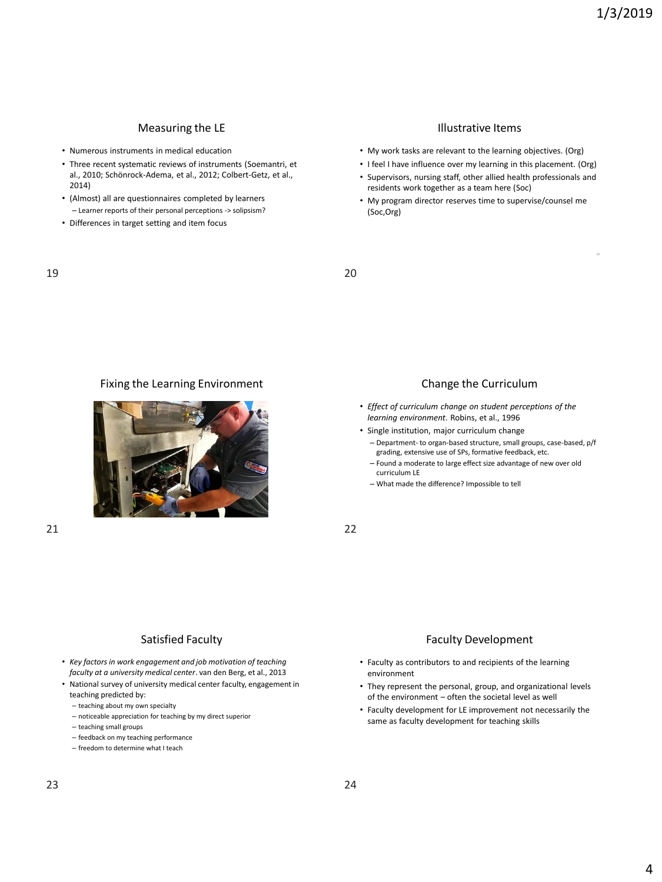### Measuring the LE

- Numerous instruments in medical education
- Three recent systematic reviews of instruments (Soemantri, et al., 2010; Schönrock-Adema, et al., 2012; Colbert-Getz, et al., 2014)
- (Almost) all are questionnaires completed by learners – Learner reports of their personal perceptions -> solipsism?
- Differences in target setting and item focus

#### Illustrative Items

- My work tasks are relevant to the learning objectives. (Org)
- I feel I have influence over my learning in this placement. (Org)
- Supervisors, nursing staff, other allied health professionals and residents work together as a team here (Soc)
- My program director reserves time to supervise/counsel me (Soc,Org)

19 20

#### Fixing the Learning Environment **Change the Curriculum** Change the Curriculum



- *Effect of curriculum change on student perceptions of the learning environment*. Robins, et al., 1996
- Single institution, major curriculum change
	- Department- to organ-based structure, small groups, case-based, p/f grading, extensive use of SPs, formative feedback, etc.
	- Found a moderate to large effect size advantage of new over old curriculum LE
	- What made the difference? Impossible to tell

21 22

#### Satisfied Faculty

- *Key factors in work engagement and job motivation of teaching faculty at a university medical center*. van den Berg, et al., 2013
- National survey of university medical center faculty, engagement in teaching predicted by:
	- teaching about my own specialty
	- noticeable appreciation for teaching by my direct superior
	- teaching small groups
	- feedback on my teaching performance
	- freedom to determine what I teach

#### Faculty Development

- Faculty as contributors to and recipients of the learning environment
- They represent the personal, group, and organizational levels of the environment – often the societal level as well
- Faculty development for LE improvement not necessarily the same as faculty development for teaching skills